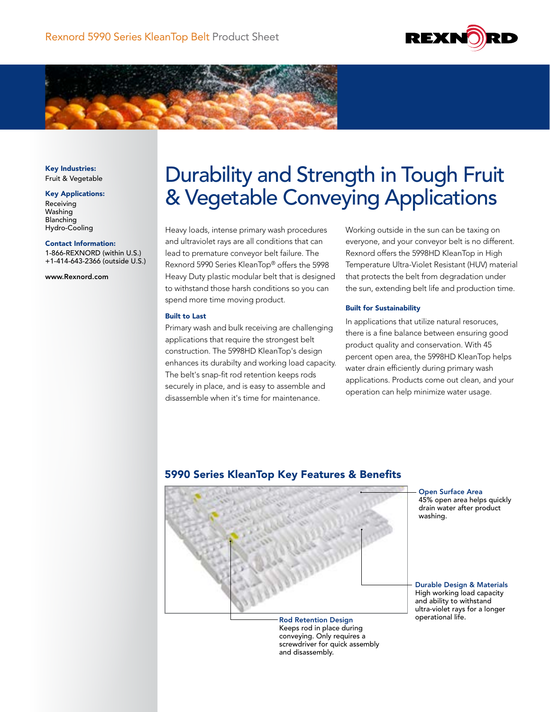



Key Industries: Fruit & Vegetable

#### Key Applications:

Receiving Washing Blanching Hydro-Cooling

#### Contact Information:

1-866-REXNORD (within U.S.) +1-414-643-2366 (outside U.S.)

www.Rexnord.com

# Durability and Strength in Tough Fruit & Vegetable Conveying Applications

Heavy loads, intense primary wash procedures and ultraviolet rays are all conditions that can lead to premature conveyor belt failure. The Rexnord 5990 Series KleanTop® offers the 5998 Heavy Duty plastic modular belt that is designed to withstand those harsh conditions so you can spend more time moving product.

## Built to Last

Primary wash and bulk receiving are challenging applications that require the strongest belt construction. The 5998HD KleanTop's design enhances its durabilty and working load capacity. The belt's snap-fit rod retention keeps rods securely in place, and is easy to assemble and disassemble when it's time for maintenance.

Working outside in the sun can be taxing on everyone, and your conveyor belt is no different. Rexnord offers the 5998HD KleanTop in High Temperature Ultra-Violet Resistant (HUV) material that protects the belt from degradation under the sun, extending belt life and production time.

### Built for Sustainability

In applications that utilize natural resoruces, there is a fine balance between ensuring good product quality and conservation. With 45 percent open area, the 5998HD KleanTop helps water drain efficiently during primary wash applications. Products come out clean, and your operation can help minimize water usage.

# 5990 Series KleanTop Key Features & Benefits



Rod Retention Design Keeps rod in place during conveying. Only requires a screwdriver for quick assembly and disassembly.

Open Surface Area 45% open area helps quickly drain water after product washing.

Durable Design & Materials High working load capacity and ability to withstand ultra-violet rays for a longer operational life.